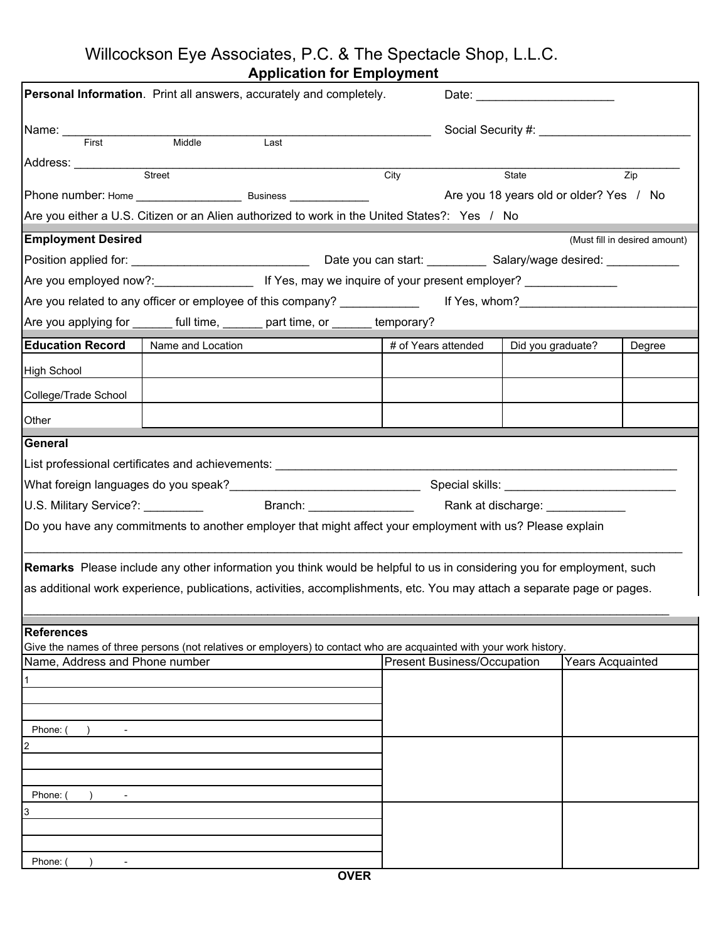Willcockson Eye Associates, P.C. & The Spectacle Shop, L.L.C.

| <b>Application for Employment</b> |  |
|-----------------------------------|--|
|-----------------------------------|--|

| Personal Information. Print all answers, accurately and completely.                                                     |                   |      |      |                                    |                   |                         |                               |  |
|-------------------------------------------------------------------------------------------------------------------------|-------------------|------|------|------------------------------------|-------------------|-------------------------|-------------------------------|--|
| Name:                                                                                                                   |                   |      |      |                                    |                   |                         |                               |  |
| First                                                                                                                   | Middle            | Last |      |                                    |                   |                         |                               |  |
| Address: ___________                                                                                                    | Street            |      | City |                                    | State             |                         | Zip                           |  |
|                                                                                                                         |                   |      |      |                                    |                   |                         |                               |  |
| Are you either a U.S. Citizen or an Alien authorized to work in the United States?: Yes / No                            |                   |      |      |                                    |                   |                         |                               |  |
| <b>Employment Desired</b>                                                                                               |                   |      |      |                                    |                   |                         | (Must fill in desired amount) |  |
|                                                                                                                         |                   |      |      |                                    |                   |                         |                               |  |
|                                                                                                                         |                   |      |      |                                    |                   |                         |                               |  |
|                                                                                                                         |                   |      |      |                                    |                   |                         |                               |  |
| Are you applying for _______ full time, _______ part time, or ______ temporary?                                         |                   |      |      |                                    |                   |                         |                               |  |
| <b>Education Record</b>                                                                                                 | Name and Location |      |      | # of Years attended                | Did you graduate? |                         | Degree                        |  |
| <b>High School</b>                                                                                                      |                   |      |      |                                    |                   |                         |                               |  |
| College/Trade School                                                                                                    |                   |      |      |                                    |                   |                         |                               |  |
| Other                                                                                                                   |                   |      |      |                                    |                   |                         |                               |  |
| <b>General</b>                                                                                                          |                   |      |      |                                    |                   |                         |                               |  |
| List professional certificates and achievements: _______________________________                                        |                   |      |      |                                    |                   |                         |                               |  |
|                                                                                                                         |                   |      |      |                                    |                   |                         |                               |  |
|                                                                                                                         |                   |      |      | Rank at discharge: ____________    |                   |                         |                               |  |
| Do you have any commitments to another employer that might affect your employment with us? Please explain               |                   |      |      |                                    |                   |                         |                               |  |
|                                                                                                                         |                   |      |      |                                    |                   |                         |                               |  |
| Remarks Please include any other information you think would be helpful to us in considering you for employment, such   |                   |      |      |                                    |                   |                         |                               |  |
| as additional work experience, publications, activities, accomplishments, etc. You may attach a separate page or pages. |                   |      |      |                                    |                   |                         |                               |  |
|                                                                                                                         |                   |      |      |                                    |                   |                         |                               |  |
| <b>References</b>                                                                                                       |                   |      |      |                                    |                   |                         |                               |  |
| Give the names of three persons (not relatives or employers) to contact who are acquainted with your work history.      |                   |      |      |                                    |                   |                         |                               |  |
| Name, Address and Phone number                                                                                          |                   |      |      | <b>Present Business/Occupation</b> |                   | <b>Years Acquainted</b> |                               |  |
|                                                                                                                         |                   |      |      |                                    |                   |                         |                               |  |
|                                                                                                                         |                   |      |      |                                    |                   |                         |                               |  |
| Phone:                                                                                                                  |                   |      |      |                                    |                   |                         |                               |  |
| $\overline{c}$                                                                                                          |                   |      |      |                                    |                   |                         |                               |  |
|                                                                                                                         |                   |      |      |                                    |                   |                         |                               |  |
| Phone:                                                                                                                  |                   |      |      |                                    |                   |                         |                               |  |
| 3                                                                                                                       |                   |      |      |                                    |                   |                         |                               |  |
|                                                                                                                         |                   |      |      |                                    |                   |                         |                               |  |
|                                                                                                                         |                   |      |      |                                    |                   |                         |                               |  |
| Phone:                                                                                                                  |                   |      |      |                                    |                   |                         |                               |  |